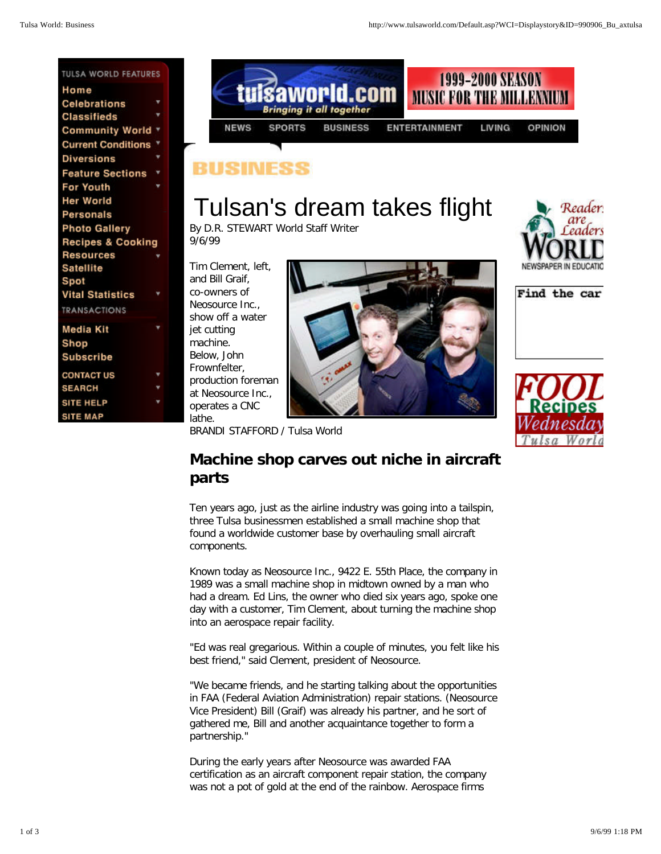## RIISHNIFS

## Tulsan's dream takes flight

By D.R. STEWART World Staff Writer 9/6/99

Tim Clement, left, and Bill Graif, co-owners of Neosource Inc., show off a water jet cutting machine. Below, John Frownfelter, production foreman at Neosource Inc., operates a CNC lathe.



BRANDI STAFFORD / Tulsa World

## **Machine shop carves out niche in aircraft parts**

Ten years ago, just as the airline industry was going into a tailspin, three Tulsa businessmen established a small machine shop that found a worldwide customer base by overhauling small aircraft components.

Known today as Neosource Inc., 9422 E. 55th Place, the company in 1989 was a small machine shop in midtown owned by a man who had a dream. Ed Lins, the owner who died six years ago, spoke one day with a customer, Tim Clement, about turning the machine shop into an aerospace repair facility.

"Ed was real gregarious. Within a couple of minutes, you felt like his best friend," said Clement, president of Neosource.

"We became friends, and he starting talking about the opportunities in FAA (Federal Aviation Administration) repair stations. (Neosource Vice President) Bill (Graif) was already his partner, and he sort of gathered me, Bill and another acquaintance together to form a partnership."

During the early years after Neosource was awarded FAA certification as an aircraft component repair station, the company was not a pot of gold at the end of the rainbow. Aerospace firms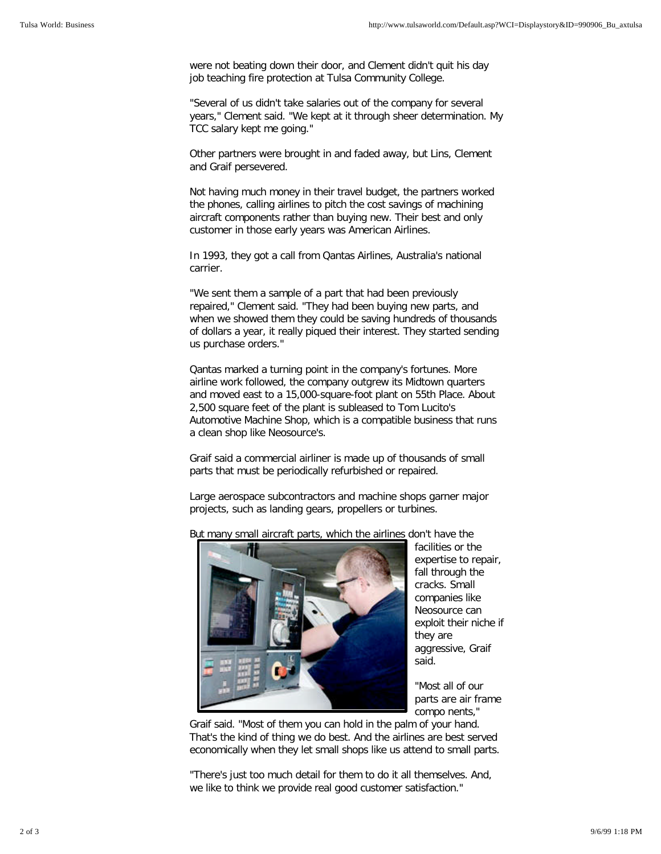were not beating down their door, and Clement didn't quit his day job teaching fire protection at Tulsa Community College.

"Several of us didn't take salaries out of the company for several years," Clement said. "We kept at it through sheer determination. My TCC salary kept me going."

Other partners were brought in and faded away, but Lins, Clement and Graif persevered.

Not having much money in their travel budget, the partners worked the phones, calling airlines to pitch the cost savings of machining aircraft components rather than buying new. Their best and only customer in those early years was American Airlines.

In 1993, they got a call from Qantas Airlines, Australia's national carrier.

"We sent them a sample of a part that had been previously repaired," Clement said. "They had been buying new parts, and when we showed them they could be saving hundreds of thousands of dollars a year, it really piqued their interest. They started sending us purchase orders."

Qantas marked a turning point in the company's fortunes. More airline work followed, the company outgrew its Midtown quarters and moved east to a 15,000-square-foot plant on 55th Place. About 2,500 square feet of the plant is subleased to Tom Lucito's Automotive Machine Shop, which is a compatible business that runs a clean shop like Neosource's.

Graif said a commercial airliner is made up of thousands of small parts that must be periodically refurbished or repaired.

Large aerospace subcontractors and machine shops garner major projects, such as landing gears, propellers or turbines.



But many small aircraft parts, which the airlines don't have the

facilities or the expertise to repair, fall through the cracks. Small companies like Neosource can exploit their niche if they are aggressive, Graif said.

"Most all of our parts are air frame compo nents,"

Graif said. "Most of them you can hold in the palm of your hand. That's the kind of thing we do best. And the airlines are best served economically when they let small shops like us attend to small parts.

"There's just too much detail for them to do it all themselves. And, we like to think we provide real good customer satisfaction."